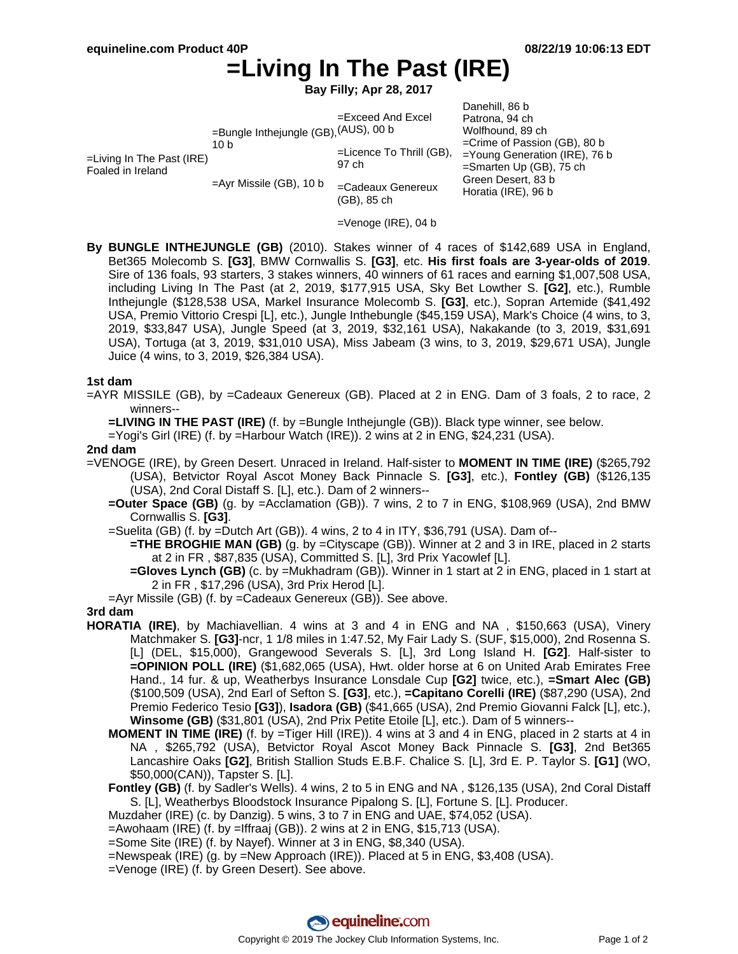# **=Living In The Past (IRE)**

**Bay Filly; Apr 28, 2017**

| =Bungle Inthejungle (GB), (AUS), 00 b<br>10 <sub>b</sub><br>$=$ Living In The Past (IRE)<br>97 ch<br>Foaled in Ireland<br>$=$ Ayr Missile (GB), 10 b<br>(GB), 85 ch | Danehill, 86 b<br>$=$ Exceed And Excel<br>Patrona, 94 ch<br>Wolfhound, 89 ch<br>$=$ Crime of Passion (GB), 80 b<br>$=$ Licence To Thrill (GB),<br>$=$ Young Generation (IRE), 76 b<br>$=$ Smarten Up (GB), 75 ch<br>Green Desert, 83 b<br>=Cadeaux Genereux<br>Horatia (IRE), 96 b |
|---------------------------------------------------------------------------------------------------------------------------------------------------------------------|------------------------------------------------------------------------------------------------------------------------------------------------------------------------------------------------------------------------------------------------------------------------------------|
|---------------------------------------------------------------------------------------------------------------------------------------------------------------------|------------------------------------------------------------------------------------------------------------------------------------------------------------------------------------------------------------------------------------------------------------------------------------|

- =Venoge (IRE), 04 b
- **By BUNGLE INTHEJUNGLE (GB)** (2010). Stakes winner of 4 races of \$142,689 USA in England, Bet365 Molecomb S. **[G3]**, BMW Cornwallis S. **[G3]**, etc. **His first foals are 3-year-olds of 2019**. Sire of 136 foals, 93 starters, 3 stakes winners, 40 winners of 61 races and earning \$1,007,508 USA, including Living In The Past (at 2, 2019, \$177,915 USA, Sky Bet Lowther S. **[G2]**, etc.), Rumble Inthejungle (\$128,538 USA, Markel Insurance Molecomb S. **[G3]**, etc.), Sopran Artemide (\$41,492 USA, Premio Vittorio Crespi [L], etc.), Jungle Inthebungle (\$45,159 USA), Mark's Choice (4 wins, to 3, 2019, \$33,847 USA), Jungle Speed (at 3, 2019, \$32,161 USA), Nakakande (to 3, 2019, \$31,691 USA), Tortuga (at 3, 2019, \$31,010 USA), Miss Jabeam (3 wins, to 3, 2019, \$29,671 USA), Jungle Juice (4 wins, to 3, 2019, \$26,384 USA).

#### **1st dam**

=AYR MISSILE (GB), by =Cadeaux Genereux (GB). Placed at 2 in ENG. Dam of 3 foals, 2 to race, 2 winners--

**=LIVING IN THE PAST (IRE)** (f. by =Bungle Inthejungle (GB)). Black type winner, see below.

 $=$ Yogi's Girl (IRE) (f. by  $=$ Harbour Watch (IRE)). 2 wins at 2 in ENG, \$24,231 (USA).

#### **2nd dam**

- =VENOGE (IRE), by Green Desert. Unraced in Ireland. Half-sister to **MOMENT IN TIME (IRE)** (\$265,792 (USA), Betvictor Royal Ascot Money Back Pinnacle S. **[G3]**, etc.), **Fontley (GB)** (\$126,135 (USA), 2nd Coral Distaff S. [L], etc.). Dam of 2 winners--
	- **=Outer Space (GB)** (g. by =Acclamation (GB)). 7 wins, 2 to 7 in ENG, \$108,969 (USA), 2nd BMW Cornwallis S. **[G3]**.
	- =Suelita (GB) (f. by =Dutch Art (GB)). 4 wins, 2 to 4 in ITY, \$36,791 (USA). Dam of--
		- **=THE BROGHIE MAN (GB)** (g. by =Cityscape (GB)). Winner at 2 and 3 in IRE, placed in 2 starts at 2 in FR , \$87,835 (USA), Committed S. [L], 3rd Prix Yacowlef [L].
		- **=Gloves Lynch (GB)** (c. by =Mukhadram (GB)). Winner in 1 start at 2 in ENG, placed in 1 start at 2 in FR , \$17,296 (USA), 3rd Prix Herod [L].
	- =Ayr Missile (GB) (f. by =Cadeaux Genereux (GB)). See above.

### **3rd dam**

- **HORATIA (IRE)**, by Machiavellian. 4 wins at 3 and 4 in ENG and NA , \$150,663 (USA), Vinery Matchmaker S. **[G3]**-ncr, 1 1/8 miles in 1:47.52, My Fair Lady S. (SUF, \$15,000), 2nd Rosenna S. [L] (DEL, \$15,000), Grangewood Severals S. [L], 3rd Long Island H. **[G2]**. Half-sister to **=OPINION POLL (IRE)** (\$1,682,065 (USA), Hwt. older horse at 6 on United Arab Emirates Free Hand., 14 fur. & up, Weatherbys Insurance Lonsdale Cup **[G2]** twice, etc.), **=Smart Alec (GB)** (\$100,509 (USA), 2nd Earl of Sefton S. **[G3]**, etc.), **=Capitano Corelli (IRE)** (\$87,290 (USA), 2nd Premio Federico Tesio **[G3]**), **Isadora (GB)** (\$41,665 (USA), 2nd Premio Giovanni Falck [L], etc.), **Winsome (GB)** (\$31,801 (USA), 2nd Prix Petite Etoile [L], etc.). Dam of 5 winners--
	- **MOMENT IN TIME (IRE)** (f. by =Tiger Hill (IRE)). 4 wins at 3 and 4 in ENG, placed in 2 starts at 4 in NA , \$265,792 (USA), Betvictor Royal Ascot Money Back Pinnacle S. **[G3]**, 2nd Bet365 Lancashire Oaks **[G2]**, British Stallion Studs E.B.F. Chalice S. [L], 3rd E. P. Taylor S. **[G1]** (WO, \$50,000(CAN)), Tapster S. [L].
	- **Fontley (GB)** (f. by Sadler's Wells). 4 wins, 2 to 5 in ENG and NA , \$126,135 (USA), 2nd Coral Distaff S. [L], Weatherbys Bloodstock Insurance Pipalong S. [L], Fortune S. [L]. Producer.
	- Muzdaher (IRE) (c. by Danzig). 5 wins, 3 to 7 in ENG and UAE, \$74,052 (USA).
	- =Awohaam (IRE) (f. by =Iffraaj (GB)). 2 wins at 2 in ENG, \$15,713 (USA).
	- =Some Site (IRE) (f. by Nayef). Winner at 3 in ENG, \$8,340 (USA).
	- =Newspeak (IRE) (g. by =New Approach (IRE)). Placed at 5 in ENG, \$3,408 (USA).
	- =Venoge (IRE) (f. by Green Desert). See above.